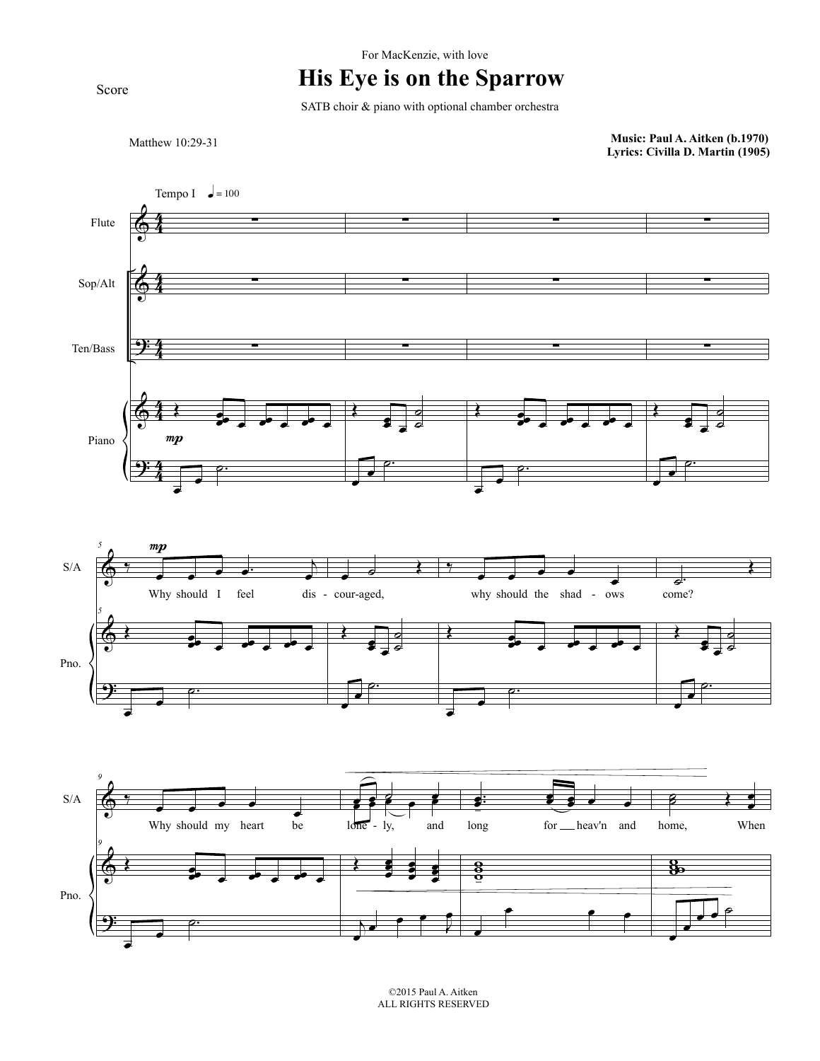For MacKenzie, with love

## **His Eye is on the Sparrow**

SATB choir & piano with optional chamber orchestra

Matthew 10:29-31

**Music: Paul A. Aitken (b.1970) Lyrics: Civilla D. Martin (1905)** 





©2015 Paul A. Aitken ALL RIGHTS RESERVED

Score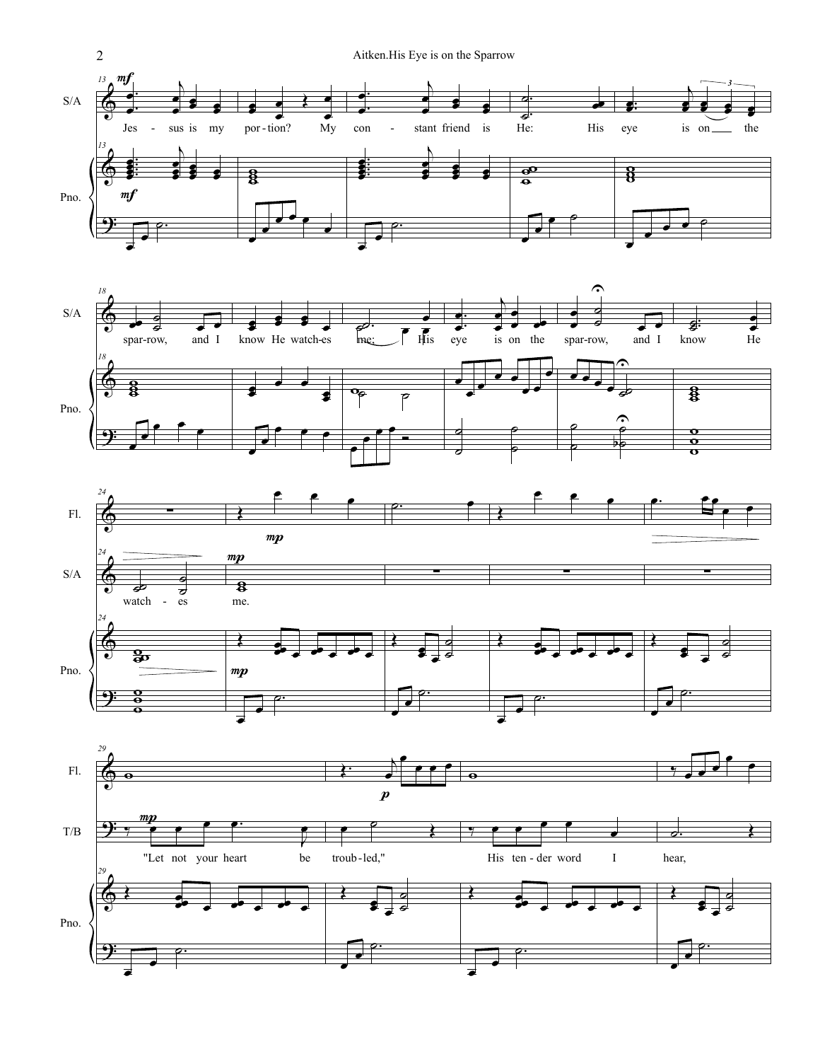





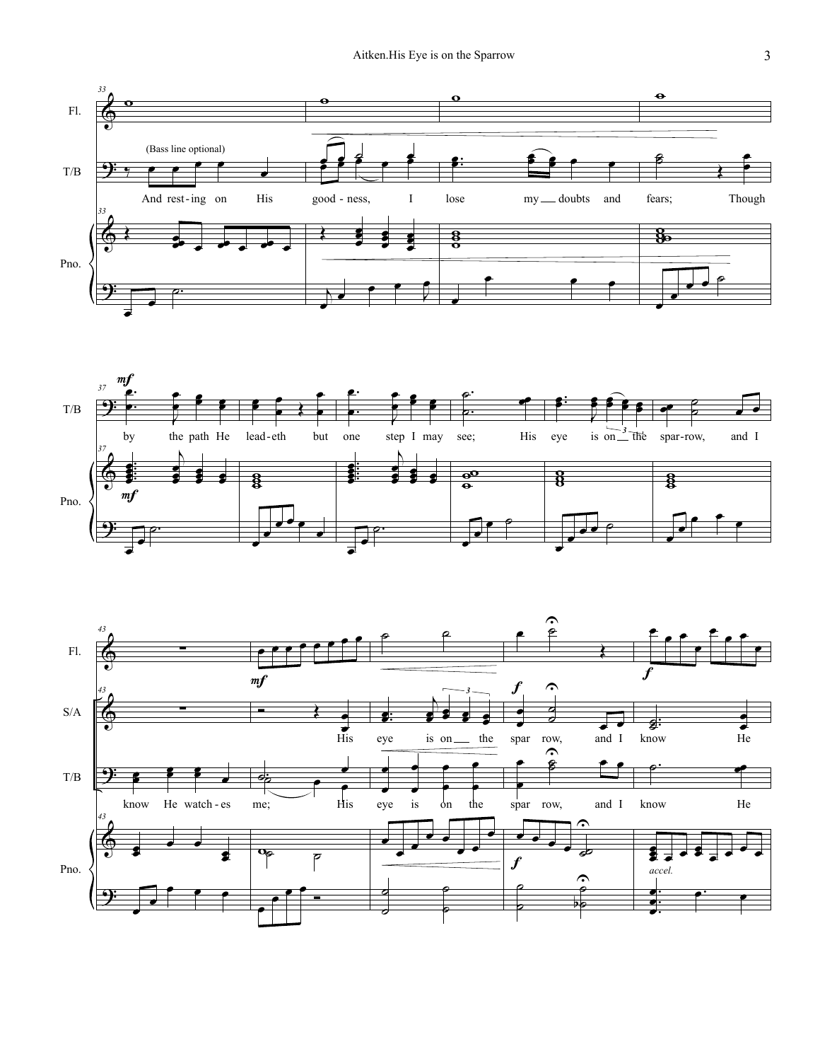



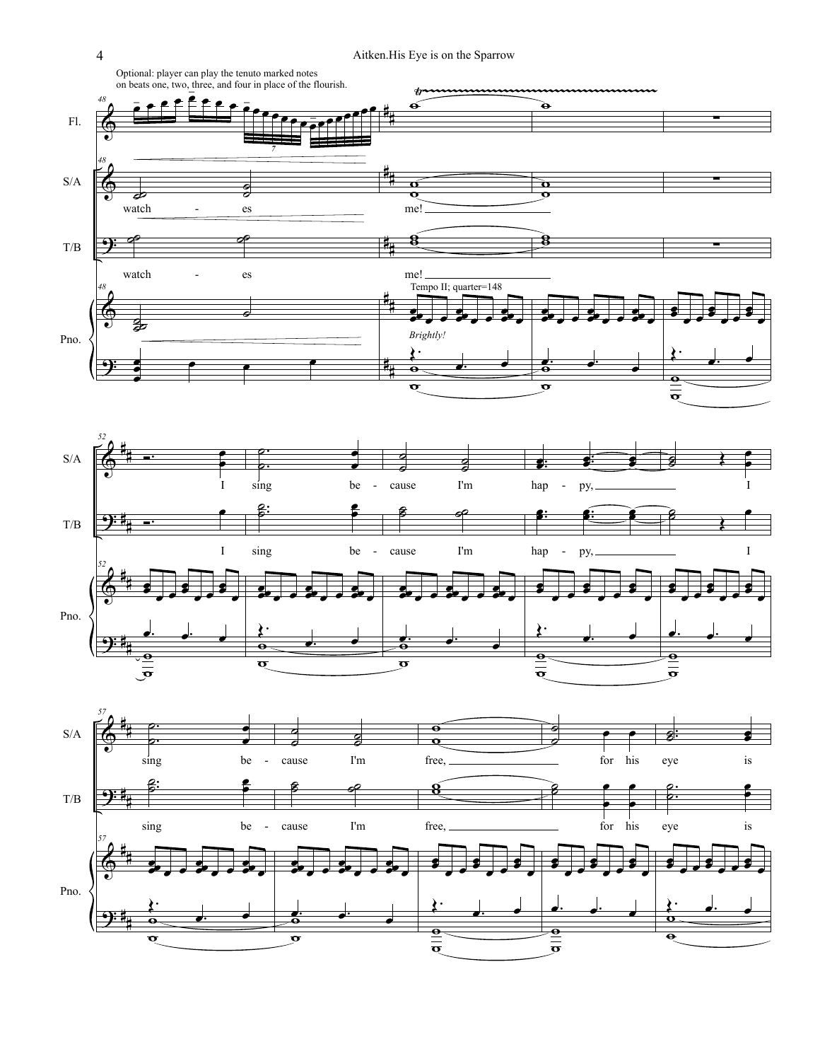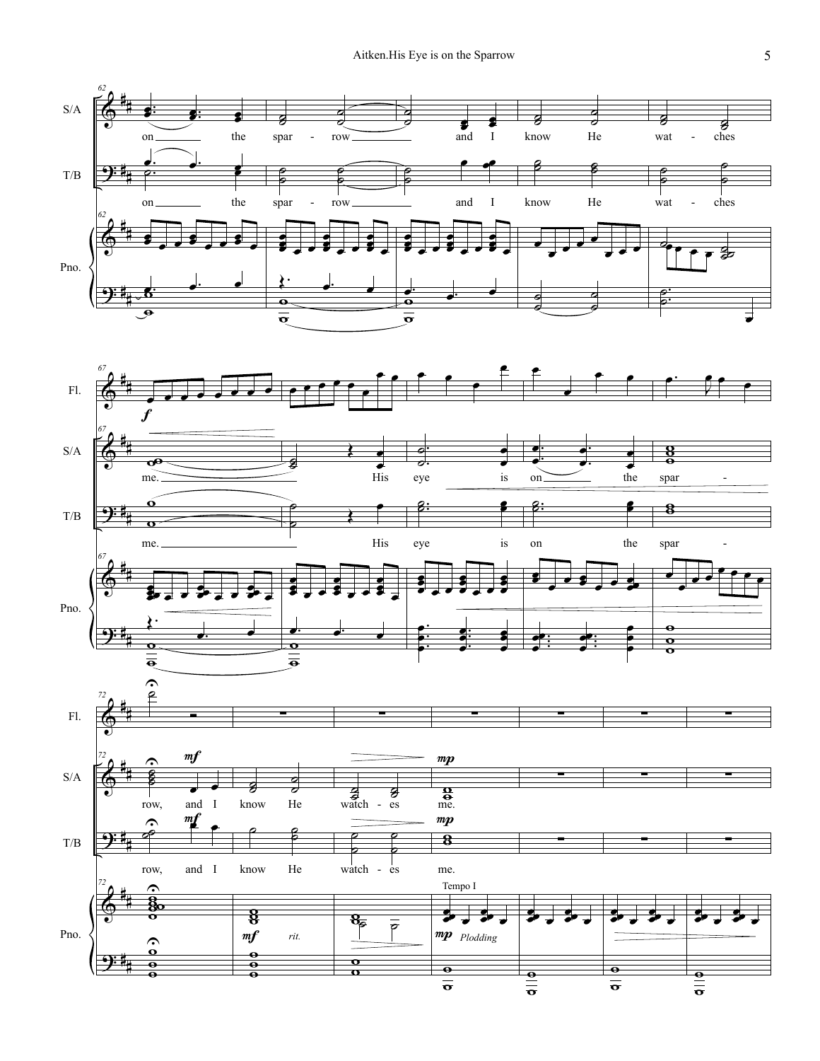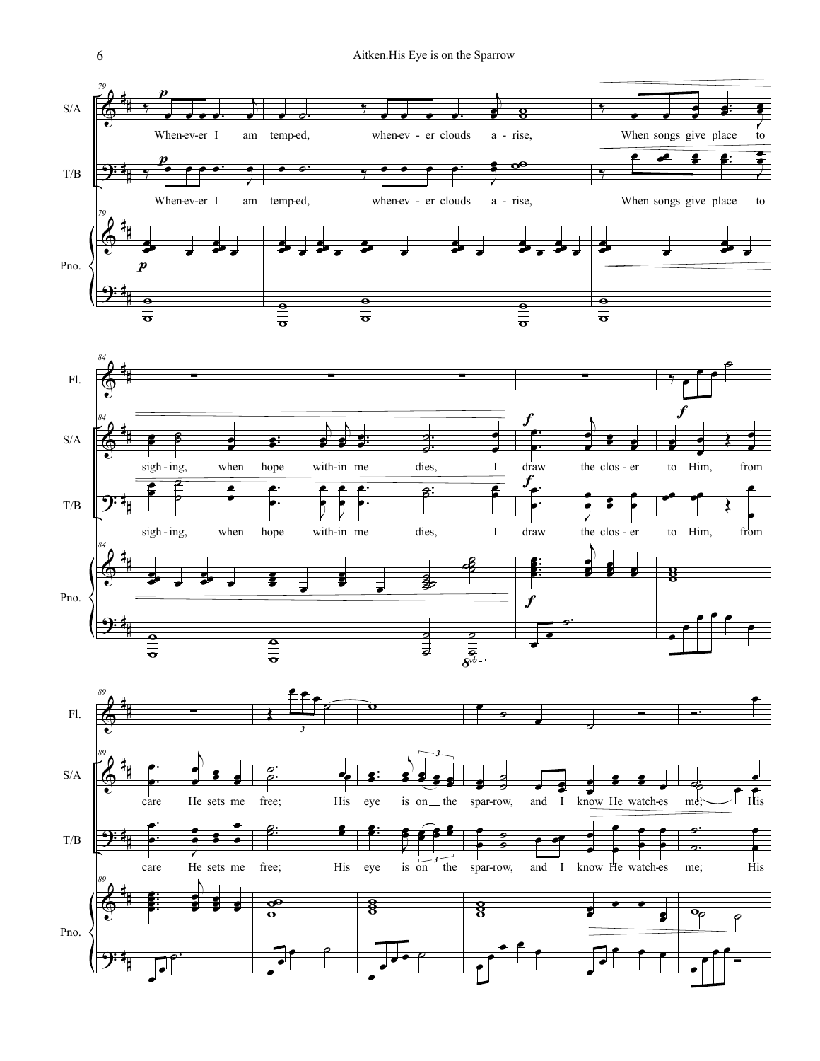





 $\sqrt{6}$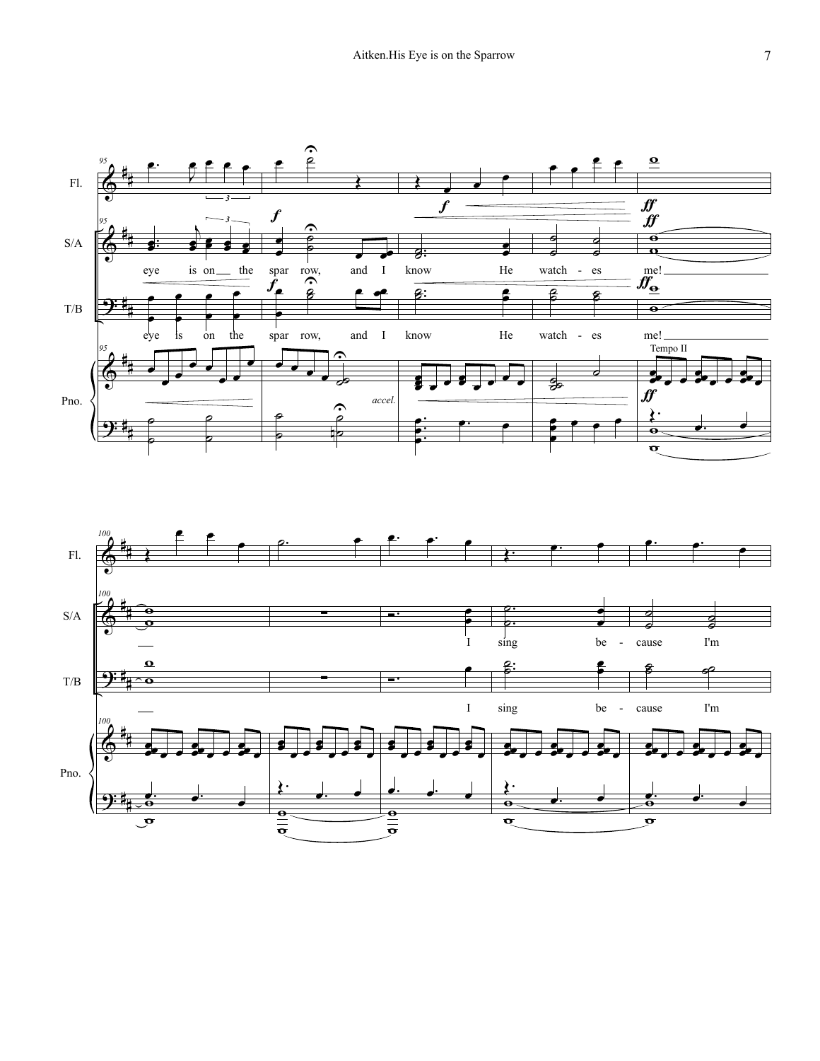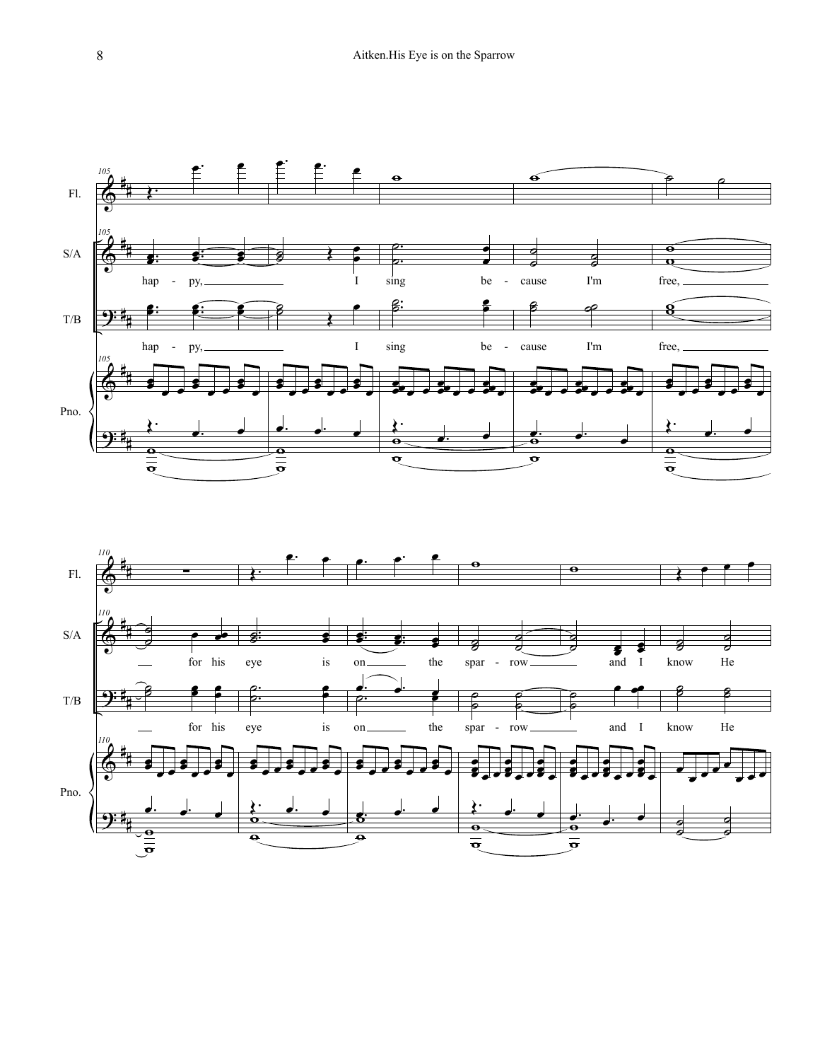

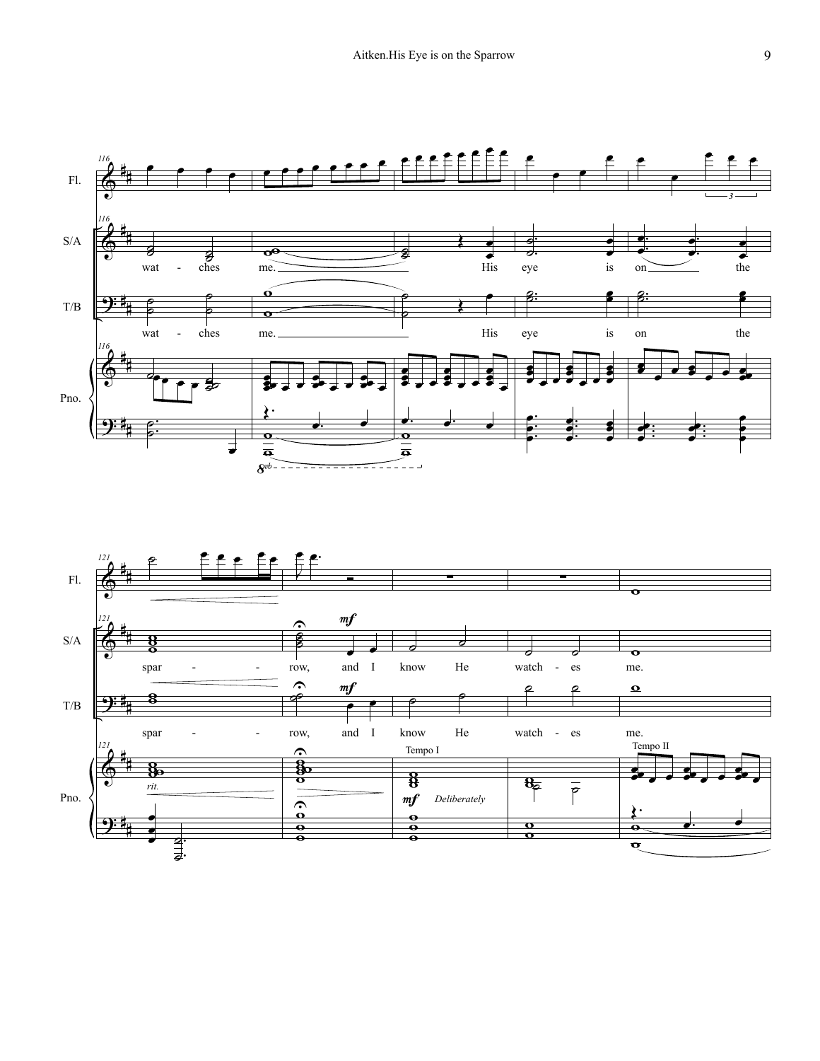